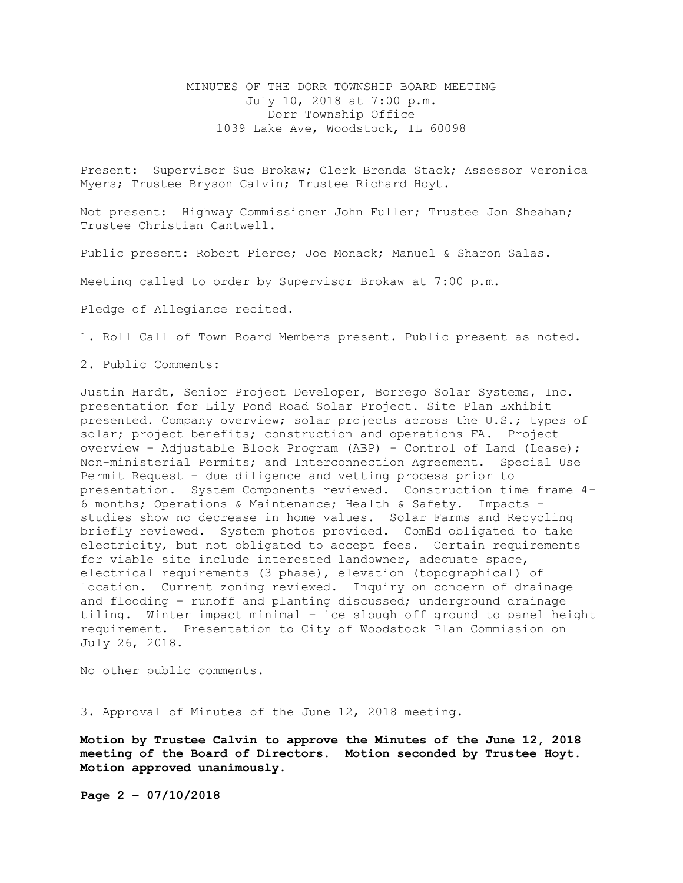## MINUTES OF THE DORR TOWNSHIP BOARD MEETING July 10, 2018 at 7:00 p.m. Dorr Township Office 1039 Lake Ave, Woodstock, IL 60098

Present: Supervisor Sue Brokaw; Clerk Brenda Stack; Assessor Veronica Myers; Trustee Bryson Calvin; Trustee Richard Hoyt.

Not present: Highway Commissioner John Fuller; Trustee Jon Sheahan; Trustee Christian Cantwell.

Public present: Robert Pierce; Joe Monack; Manuel & Sharon Salas.

Meeting called to order by Supervisor Brokaw at 7:00 p.m.

Pledge of Allegiance recited.

1. Roll Call of Town Board Members present. Public present as noted.

2. Public Comments:

Justin Hardt, Senior Project Developer, Borrego Solar Systems, Inc. presentation for Lily Pond Road Solar Project. Site Plan Exhibit presented. Company overview; solar projects across the U.S.; types of solar; project benefits; construction and operations FA. Project overview – Adjustable Block Program (ABP) – Control of Land (Lease); Non-ministerial Permits; and Interconnection Agreement. Special Use Permit Request – due diligence and vetting process prior to presentation. System Components reviewed. Construction time frame 4- 6 months; Operations & Maintenance; Health & Safety. Impacts – studies show no decrease in home values. Solar Farms and Recycling briefly reviewed. System photos provided. ComEd obligated to take electricity, but not obligated to accept fees. Certain requirements for viable site include interested landowner, adequate space, electrical requirements (3 phase), elevation (topographical) of location. Current zoning reviewed. Inquiry on concern of drainage and flooding – runoff and planting discussed; underground drainage tiling. Winter impact minimal – ice slough off ground to panel height requirement. Presentation to City of Woodstock Plan Commission on July 26, 2018.

No other public comments.

3. Approval of Minutes of the June 12, 2018 meeting.

**Motion by Trustee Calvin to approve the Minutes of the June 12, 2018 meeting of the Board of Directors. Motion seconded by Trustee Hoyt. Motion approved unanimously.**

**Page 2 – 07/10/2018**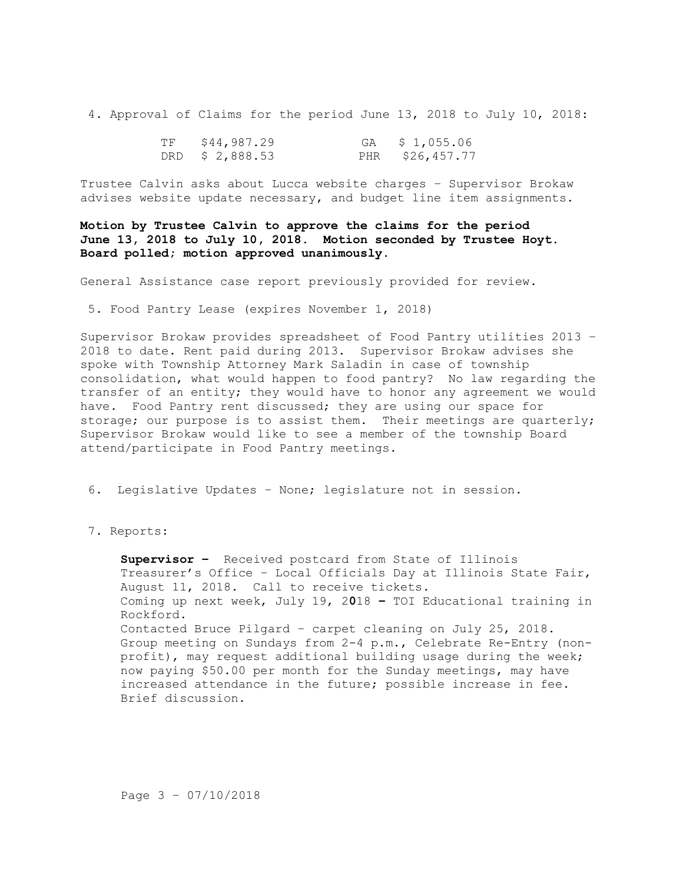4. Approval of Claims for the period June 13, 2018 to July 10, 2018:

| TF | \$44,987.29     | GA $$1,055.06$  |
|----|-----------------|-----------------|
|    | DRD \$ 2,888.53 | PHR \$26,457.77 |

Trustee Calvin asks about Lucca website charges – Supervisor Brokaw advises website update necessary, and budget line item assignments.

**Motion by Trustee Calvin to approve the claims for the period June 13, 2018 to July 10, 2018. Motion seconded by Trustee Hoyt. Board polled; motion approved unanimously.**

General Assistance case report previously provided for review.

5. Food Pantry Lease (expires November 1, 2018)

Supervisor Brokaw provides spreadsheet of Food Pantry utilities 2013 – 2018 to date. Rent paid during 2013. Supervisor Brokaw advises she spoke with Township Attorney Mark Saladin in case of township consolidation, what would happen to food pantry? No law regarding the transfer of an entity; they would have to honor any agreement we would have. Food Pantry rent discussed; they are using our space for storage; our purpose is to assist them. Their meetings are quarterly; Supervisor Brokaw would like to see a member of the township Board attend/participate in Food Pantry meetings.

6. Legislative Updates – None; legislature not in session.

## 7. Reports:

**Supervisor –** Received postcard from State of Illinois Treasurer's Office – Local Officials Day at Illinois State Fair, August 11, 2018. Call to receive tickets. Coming up next week, July 19, 2**0**18 **–** TOI Educational training in Rockford. Contacted Bruce Pilgard – carpet cleaning on July 25, 2018. Group meeting on Sundays from 2-4 p.m., Celebrate Re-Entry (nonprofit), may request additional building usage during the week; now paying \$50.00 per month for the Sunday meetings, may have increased attendance in the future; possible increase in fee. Brief discussion.